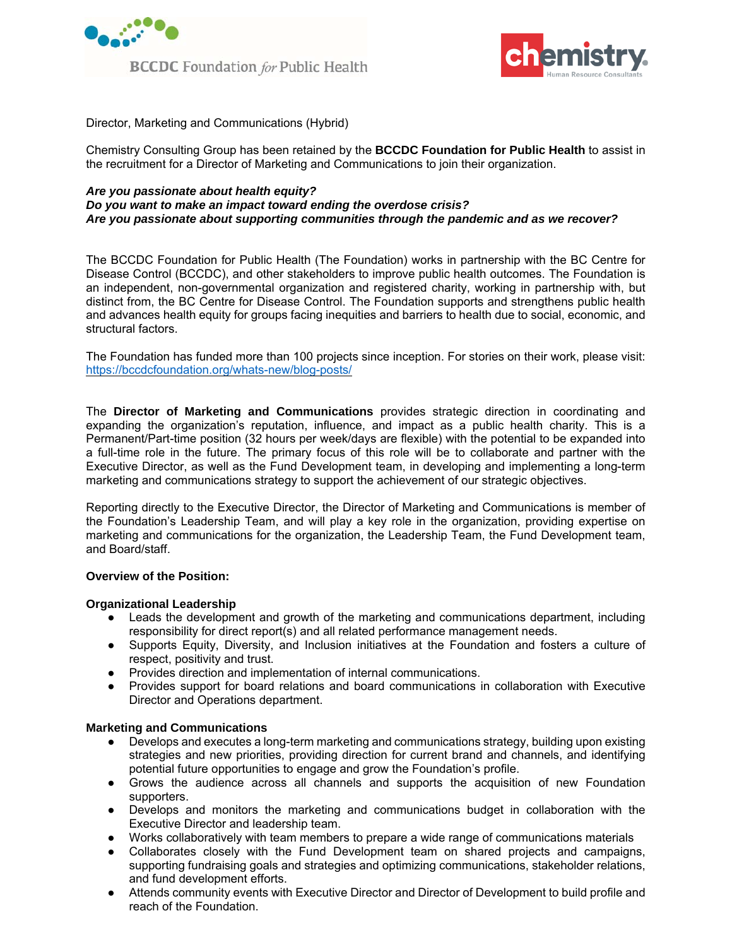



Director, Marketing and Communications (Hybrid)

Chemistry Consulting Group has been retained by the **BCCDC Foundation for Public Health** to assist in the recruitment for a Director of Marketing and Communications to join their organization.

## *Are you passionate about health equity? Do you want to make an impact toward ending the overdose crisis? Are you passionate about supporting communities through the pandemic and as we recover?*

The BCCDC Foundation for Public Health (The Foundation) works in partnership with the BC Centre for Disease Control (BCCDC), and other stakeholders to improve public health outcomes. The Foundation is an independent, non-governmental organization and registered charity, working in partnership with, but distinct from, the BC Centre for Disease Control. The Foundation supports and strengthens public health and advances health equity for groups facing inequities and barriers to health due to social, economic, and structural factors.

The Foundation has funded more than 100 projects since inception. For stories on their work, please visit: https://bccdcfoundation.org/whats-new/blog-posts/

The **Director of Marketing and Communications** provides strategic direction in coordinating and expanding the organization's reputation, influence, and impact as a public health charity. This is a Permanent/Part-time position (32 hours per week/days are flexible) with the potential to be expanded into a full-time role in the future. The primary focus of this role will be to collaborate and partner with the Executive Director, as well as the Fund Development team, in developing and implementing a long-term marketing and communications strategy to support the achievement of our strategic objectives.

Reporting directly to the Executive Director, the Director of Marketing and Communications is member of the Foundation's Leadership Team, and will play a key role in the organization, providing expertise on marketing and communications for the organization, the Leadership Team, the Fund Development team, and Board/staff.

## **Overview of the Position:**

## **Organizational Leadership**

- Leads the development and growth of the marketing and communications department, including responsibility for direct report(s) and all related performance management needs.
- Supports Equity, Diversity, and Inclusion initiatives at the Foundation and fosters a culture of respect, positivity and trust.
- Provides direction and implementation of internal communications.
- Provides support for board relations and board communications in collaboration with Executive Director and Operations department.

## **Marketing and Communications**

- Develops and executes a long-term marketing and communications strategy, building upon existing strategies and new priorities, providing direction for current brand and channels, and identifying potential future opportunities to engage and grow the Foundation's profile.
- Grows the audience across all channels and supports the acquisition of new Foundation supporters.
- Develops and monitors the marketing and communications budget in collaboration with the Executive Director and leadership team.
- Works collaboratively with team members to prepare a wide range of communications materials
- Collaborates closely with the Fund Development team on shared projects and campaigns, supporting fundraising goals and strategies and optimizing communications, stakeholder relations, and fund development efforts.
- Attends community events with Executive Director and Director of Development to build profile and reach of the Foundation.